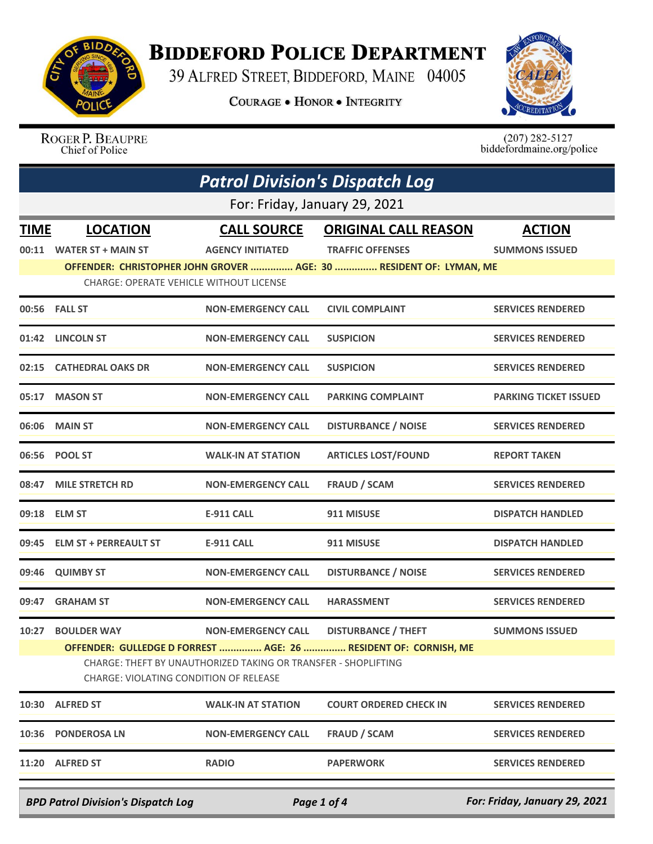

## **BIDDEFORD POLICE DEPARTMENT**

39 ALFRED STREET, BIDDEFORD, MAINE 04005

**COURAGE . HONOR . INTEGRITY** 



ROGER P. BEAUPRE<br>Chief of Police

 $(207)$  282-5127<br>biddefordmaine.org/police

| <b>Patrol Division's Dispatch Log</b>     |                                                                                                          |                           |                                                                    |                               |  |  |
|-------------------------------------------|----------------------------------------------------------------------------------------------------------|---------------------------|--------------------------------------------------------------------|-------------------------------|--|--|
|                                           | For: Friday, January 29, 2021                                                                            |                           |                                                                    |                               |  |  |
| <b>TIME</b>                               | <b>LOCATION</b>                                                                                          | <b>CALL SOURCE</b>        | <b>ORIGINAL CALL REASON</b>                                        | <b>ACTION</b>                 |  |  |
| 00:11                                     | <b>WATER ST + MAIN ST</b>                                                                                | <b>AGENCY INITIATED</b>   | <b>TRAFFIC OFFENSES</b>                                            | <b>SUMMONS ISSUED</b>         |  |  |
|                                           |                                                                                                          |                           | OFFENDER: CHRISTOPHER JOHN GROVER  AGE: 30  RESIDENT OF: LYMAN, ME |                               |  |  |
|                                           | <b>CHARGE: OPERATE VEHICLE WITHOUT LICENSE</b>                                                           |                           |                                                                    |                               |  |  |
|                                           | 00:56 FALL ST                                                                                            | <b>NON-EMERGENCY CALL</b> | <b>CIVIL COMPLAINT</b>                                             | <b>SERVICES RENDERED</b>      |  |  |
| 01:42                                     | <b>LINCOLN ST</b>                                                                                        | <b>NON-EMERGENCY CALL</b> | <b>SUSPICION</b>                                                   | <b>SERVICES RENDERED</b>      |  |  |
| 02:15                                     | <b>CATHEDRAL OAKS DR</b>                                                                                 | <b>NON-EMERGENCY CALL</b> | <b>SUSPICION</b>                                                   | <b>SERVICES RENDERED</b>      |  |  |
| 05:17                                     | <b>MASON ST</b>                                                                                          | <b>NON-EMERGENCY CALL</b> | <b>PARKING COMPLAINT</b>                                           | <b>PARKING TICKET ISSUED</b>  |  |  |
| 06:06                                     | <b>MAIN ST</b>                                                                                           | <b>NON-EMERGENCY CALL</b> | <b>DISTURBANCE / NOISE</b>                                         | <b>SERVICES RENDERED</b>      |  |  |
|                                           | 06:56 POOL ST                                                                                            | <b>WALK-IN AT STATION</b> | <b>ARTICLES LOST/FOUND</b>                                         | <b>REPORT TAKEN</b>           |  |  |
| 08:47                                     | <b>MILE STRETCH RD</b>                                                                                   | <b>NON-EMERGENCY CALL</b> | <b>FRAUD / SCAM</b>                                                | <b>SERVICES RENDERED</b>      |  |  |
|                                           | 09:18 ELM ST                                                                                             | <b>E-911 CALL</b>         | 911 MISUSE                                                         | <b>DISPATCH HANDLED</b>       |  |  |
| 09:45                                     | <b>ELM ST + PERREAULT ST</b>                                                                             | <b>E-911 CALL</b>         | 911 MISUSE                                                         | <b>DISPATCH HANDLED</b>       |  |  |
| 09:46                                     | <b>QUIMBY ST</b>                                                                                         | <b>NON-EMERGENCY CALL</b> | <b>DISTURBANCE / NOISE</b>                                         | <b>SERVICES RENDERED</b>      |  |  |
| 09:47                                     | <b>GRAHAM ST</b>                                                                                         | <b>NON-EMERGENCY CALL</b> | <b>HARASSMENT</b>                                                  | <b>SERVICES RENDERED</b>      |  |  |
|                                           | 10:27 BOULDER WAY                                                                                        | <b>NON-EMERGENCY CALL</b> | <b>DISTURBANCE / THEFT</b>                                         | <b>SUMMONS ISSUED</b>         |  |  |
|                                           | OFFENDER: GULLEDGE D FORREST  AGE: 26  RESIDENT OF: CORNISH, ME                                          |                           |                                                                    |                               |  |  |
|                                           | CHARGE: THEFT BY UNAUTHORIZED TAKING OR TRANSFER - SHOPLIFTING<br>CHARGE: VIOLATING CONDITION OF RELEASE |                           |                                                                    |                               |  |  |
|                                           | 10:30 ALFRED ST                                                                                          | <b>WALK-IN AT STATION</b> | <b>COURT ORDERED CHECK IN</b>                                      | <b>SERVICES RENDERED</b>      |  |  |
| 10:36                                     | <b>PONDEROSA LN</b>                                                                                      | <b>NON-EMERGENCY CALL</b> | <b>FRAUD / SCAM</b>                                                | <b>SERVICES RENDERED</b>      |  |  |
|                                           | 11:20 ALFRED ST                                                                                          | <b>RADIO</b>              | <b>PAPERWORK</b>                                                   | <b>SERVICES RENDERED</b>      |  |  |
| <b>BPD Patrol Division's Dispatch Log</b> |                                                                                                          |                           | Page 1 of 4                                                        | For: Friday, January 29, 2021 |  |  |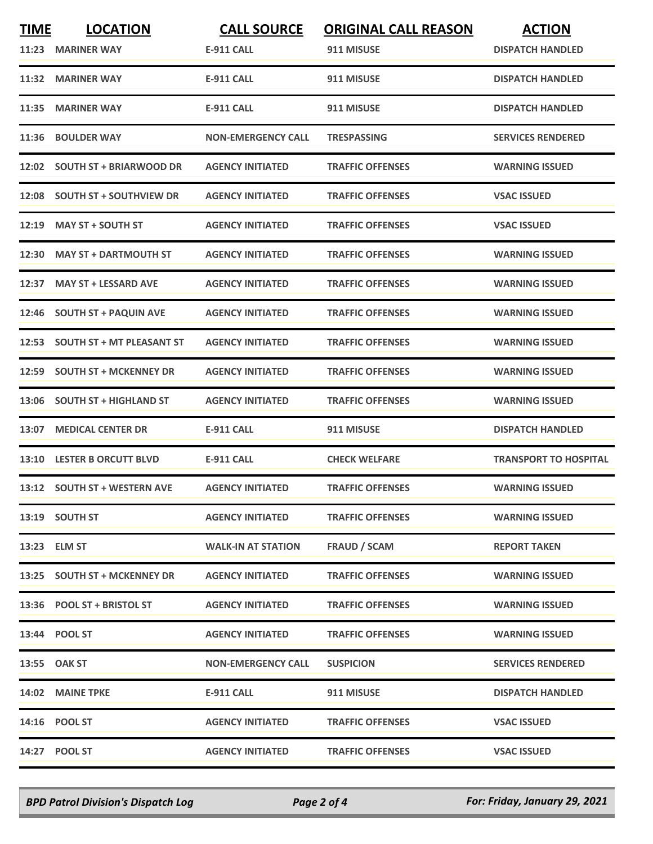| <b>TIME</b><br>11:23 | <b>LOCATION</b><br><b>MARINER WAY</b> | <b>CALL SOURCE</b><br><b>E-911 CALL</b> | <b>ORIGINAL CALL REASON</b><br>911 MISUSE | <b>ACTION</b><br><b>DISPATCH HANDLED</b> |
|----------------------|---------------------------------------|-----------------------------------------|-------------------------------------------|------------------------------------------|
| 11:32                | <b>MARINER WAY</b>                    | <b>E-911 CALL</b>                       | 911 MISUSE                                | <b>DISPATCH HANDLED</b>                  |
| 11:35                | <b>MARINER WAY</b>                    | <b>E-911 CALL</b>                       | 911 MISUSE                                | <b>DISPATCH HANDLED</b>                  |
| 11:36                | <b>BOULDER WAY</b>                    | <b>NON-EMERGENCY CALL</b>               | <b>TRESPASSING</b>                        | <b>SERVICES RENDERED</b>                 |
|                      | 12:02 SOUTH ST + BRIARWOOD DR         | <b>AGENCY INITIATED</b>                 | <b>TRAFFIC OFFENSES</b>                   | <b>WARNING ISSUED</b>                    |
| 12:08                | <b>SOUTH ST + SOUTHVIEW DR</b>        | <b>AGENCY INITIATED</b>                 | <b>TRAFFIC OFFENSES</b>                   | <b>VSAC ISSUED</b>                       |
| 12:19                | <b>MAY ST + SOUTH ST</b>              | <b>AGENCY INITIATED</b>                 | <b>TRAFFIC OFFENSES</b>                   | <b>VSAC ISSUED</b>                       |
|                      | 12:30 MAY ST + DARTMOUTH ST           | <b>AGENCY INITIATED</b>                 | <b>TRAFFIC OFFENSES</b>                   | <b>WARNING ISSUED</b>                    |
| 12:37                | <b>MAY ST + LESSARD AVE</b>           | <b>AGENCY INITIATED</b>                 | <b>TRAFFIC OFFENSES</b>                   | <b>WARNING ISSUED</b>                    |
| 12:46                | <b>SOUTH ST + PAQUIN AVE</b>          | <b>AGENCY INITIATED</b>                 | <b>TRAFFIC OFFENSES</b>                   | <b>WARNING ISSUED</b>                    |
| 12:53                | <b>SOUTH ST + MT PLEASANT ST</b>      | <b>AGENCY INITIATED</b>                 | <b>TRAFFIC OFFENSES</b>                   | <b>WARNING ISSUED</b>                    |
|                      | 12:59 SOUTH ST + MCKENNEY DR          | <b>AGENCY INITIATED</b>                 | <b>TRAFFIC OFFENSES</b>                   | <b>WARNING ISSUED</b>                    |
| 13:06                | <b>SOUTH ST + HIGHLAND ST</b>         | <b>AGENCY INITIATED</b>                 | <b>TRAFFIC OFFENSES</b>                   | <b>WARNING ISSUED</b>                    |
| 13:07                | <b>MEDICAL CENTER DR</b>              | <b>E-911 CALL</b>                       | 911 MISUSE                                | <b>DISPATCH HANDLED</b>                  |
|                      | 13:10 LESTER B ORCUTT BLVD            | E-911 CALL                              | <b>CHECK WELFARE</b>                      | <b>TRANSPORT TO HOSPITAL</b>             |
|                      | 13:12 SOUTH ST + WESTERN AVE          | <b>AGENCY INITIATED</b>                 | <b>TRAFFIC OFFENSES</b>                   | <b>WARNING ISSUED</b>                    |
|                      | 13:19 SOUTH ST                        | <b>AGENCY INITIATED</b>                 | <b>TRAFFIC OFFENSES</b>                   | <b>WARNING ISSUED</b>                    |
|                      | 13:23 ELM ST                          | <b>WALK-IN AT STATION</b>               | FRAUD / SCAM                              | <b>REPORT TAKEN</b>                      |
|                      | 13:25 SOUTH ST + MCKENNEY DR          | <b>AGENCY INITIATED</b>                 | <b>TRAFFIC OFFENSES</b>                   | <b>WARNING ISSUED</b>                    |
|                      | 13:36 POOL ST + BRISTOL ST            | <b>AGENCY INITIATED</b>                 | <b>TRAFFIC OFFENSES</b>                   | <b>WARNING ISSUED</b>                    |
|                      | 13:44 POOL ST                         | <b>AGENCY INITIATED</b>                 | <b>TRAFFIC OFFENSES</b>                   | <b>WARNING ISSUED</b>                    |
|                      | 13:55 OAK ST                          | <b>NON-EMERGENCY CALL</b>               | <b>SUSPICION</b>                          | <b>SERVICES RENDERED</b>                 |
|                      | 14:02 MAINE TPKE                      | <b>E-911 CALL</b>                       | 911 MISUSE                                | <b>DISPATCH HANDLED</b>                  |
|                      | 14:16 POOL ST                         | <b>AGENCY INITIATED</b>                 | <b>TRAFFIC OFFENSES</b>                   | <b>VSAC ISSUED</b>                       |
|                      | 14:27 POOL ST                         | <b>AGENCY INITIATED</b>                 | <b>TRAFFIC OFFENSES</b>                   | <b>VSAC ISSUED</b>                       |

*BPD Patrol Division's Dispatch Log Page 2 of 4 For: Friday, January 29, 2021*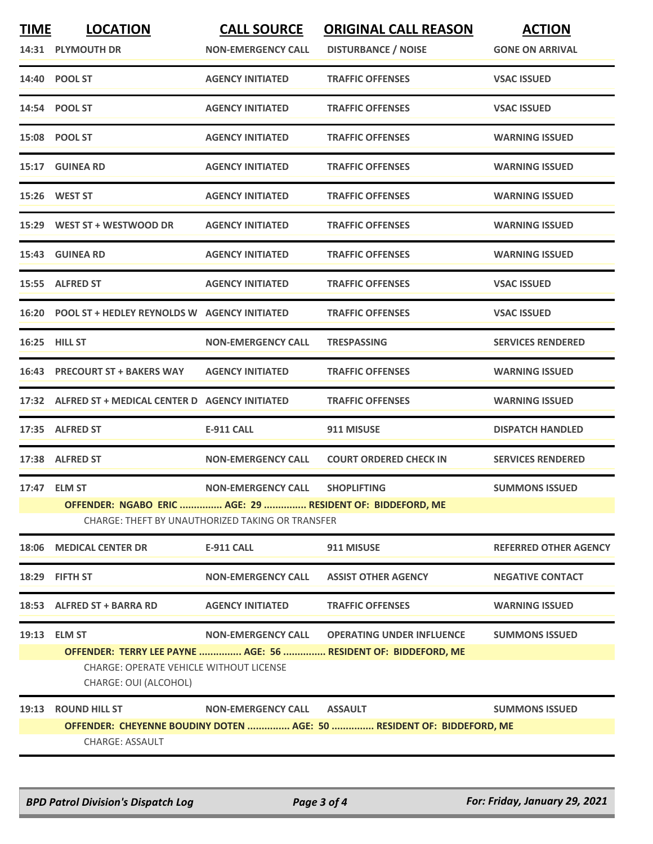| <b>TIME</b> | <b>LOCATION</b><br>14:31 PLYMOUTH DR                                                    | <b>CALL SOURCE</b><br><b>NON-EMERGENCY CALL</b>                               | <b>ORIGINAL CALL REASON</b><br><b>DISTURBANCE / NOISE</b>                                          | <b>ACTION</b><br><b>GONE ON ARRIVAL</b> |
|-------------|-----------------------------------------------------------------------------------------|-------------------------------------------------------------------------------|----------------------------------------------------------------------------------------------------|-----------------------------------------|
|             | 14:40 POOL ST                                                                           | <b>AGENCY INITIATED</b>                                                       | <b>TRAFFIC OFFENSES</b>                                                                            | <b>VSAC ISSUED</b>                      |
|             | 14:54 POOL ST                                                                           | <b>AGENCY INITIATED</b>                                                       | <b>TRAFFIC OFFENSES</b>                                                                            | <b>VSAC ISSUED</b>                      |
|             | 15:08 POOL ST                                                                           | <b>AGENCY INITIATED</b>                                                       | <b>TRAFFIC OFFENSES</b>                                                                            | <b>WARNING ISSUED</b>                   |
|             | 15:17 GUINEA RD                                                                         | <b>AGENCY INITIATED</b>                                                       | <b>TRAFFIC OFFENSES</b>                                                                            | <b>WARNING ISSUED</b>                   |
|             | 15:26 WEST ST                                                                           | <b>AGENCY INITIATED</b>                                                       | <b>TRAFFIC OFFENSES</b>                                                                            | <b>WARNING ISSUED</b>                   |
| 15:29       | WEST ST + WESTWOOD DR                                                                   | <b>AGENCY INITIATED</b>                                                       | <b>TRAFFIC OFFENSES</b>                                                                            | <b>WARNING ISSUED</b>                   |
|             | 15:43 GUINEA RD                                                                         | <b>AGENCY INITIATED</b>                                                       | <b>TRAFFIC OFFENSES</b>                                                                            | <b>WARNING ISSUED</b>                   |
|             | 15:55 ALFRED ST                                                                         | <b>AGENCY INITIATED</b>                                                       | <b>TRAFFIC OFFENSES</b>                                                                            | <b>VSAC ISSUED</b>                      |
|             | 16:20 POOL ST + HEDLEY REYNOLDS W AGENCY INITIATED                                      |                                                                               | <b>TRAFFIC OFFENSES</b>                                                                            | <b>VSAC ISSUED</b>                      |
|             | <b>16:25 HILL ST</b>                                                                    | <b>NON-EMERGENCY CALL</b>                                                     | <b>TRESPASSING</b>                                                                                 | <b>SERVICES RENDERED</b>                |
| 16:43       | <b>PRECOURT ST + BAKERS WAY</b>                                                         | <b>AGENCY INITIATED</b>                                                       | <b>TRAFFIC OFFENSES</b>                                                                            | <b>WARNING ISSUED</b>                   |
|             | 17:32 ALFRED ST + MEDICAL CENTER D AGENCY INITIATED                                     |                                                                               | <b>TRAFFIC OFFENSES</b>                                                                            | <b>WARNING ISSUED</b>                   |
| 17:35       | <b>ALFRED ST</b>                                                                        | <b>E-911 CALL</b>                                                             | 911 MISUSE                                                                                         | <b>DISPATCH HANDLED</b>                 |
|             | 17:38 ALFRED ST                                                                         | <b>NON-EMERGENCY CALL</b>                                                     | <b>COURT ORDERED CHECK IN</b>                                                                      | <b>SERVICES RENDERED</b>                |
|             | 17:47 ELM ST<br>OFFENDER: NGABO ERIC  AGE: 29  RESIDENT OF: BIDDEFORD, ME               | <b>NON-EMERGENCY CALL</b><br>CHARGE: THEFT BY UNAUTHORIZED TAKING OR TRANSFER | <b>SHOPLIFTING</b>                                                                                 | <b>SUMMONS ISSUED</b>                   |
|             | 18:06 MEDICAL CENTER DR                                                                 | <b>E-911 CALL</b>                                                             | 911 MISUSE                                                                                         | <b>REFERRED OTHER AGENCY</b>            |
| 18:29       | <b>FIFTH ST</b>                                                                         | <b>NON-EMERGENCY CALL</b>                                                     | <b>ASSIST OTHER AGENCY</b>                                                                         | <b>NEGATIVE CONTACT</b>                 |
|             | 18:53 ALFRED ST + BARRA RD                                                              | <b>AGENCY INITIATED</b>                                                       | <b>TRAFFIC OFFENSES</b>                                                                            | <b>WARNING ISSUED</b>                   |
|             | 19:13 ELM ST<br><b>CHARGE: OPERATE VEHICLE WITHOUT LICENSE</b><br>CHARGE: OUI (ALCOHOL) | <b>NON-EMERGENCY CALL</b>                                                     | <b>OPERATING UNDER INFLUENCE</b><br>OFFENDER: TERRY LEE PAYNE  AGE: 56  RESIDENT OF: BIDDEFORD, ME | <b>SUMMONS ISSUED</b>                   |
| 19:13       | <b>ROUND HILL ST</b><br>CHARGE: ASSAULT                                                 | <b>NON-EMERGENCY CALL</b>                                                     | <b>ASSAULT</b><br>OFFENDER: CHEYENNE BOUDINY DOTEN  AGE: 50  RESIDENT OF: BIDDEFORD, ME            | <b>SUMMONS ISSUED</b>                   |